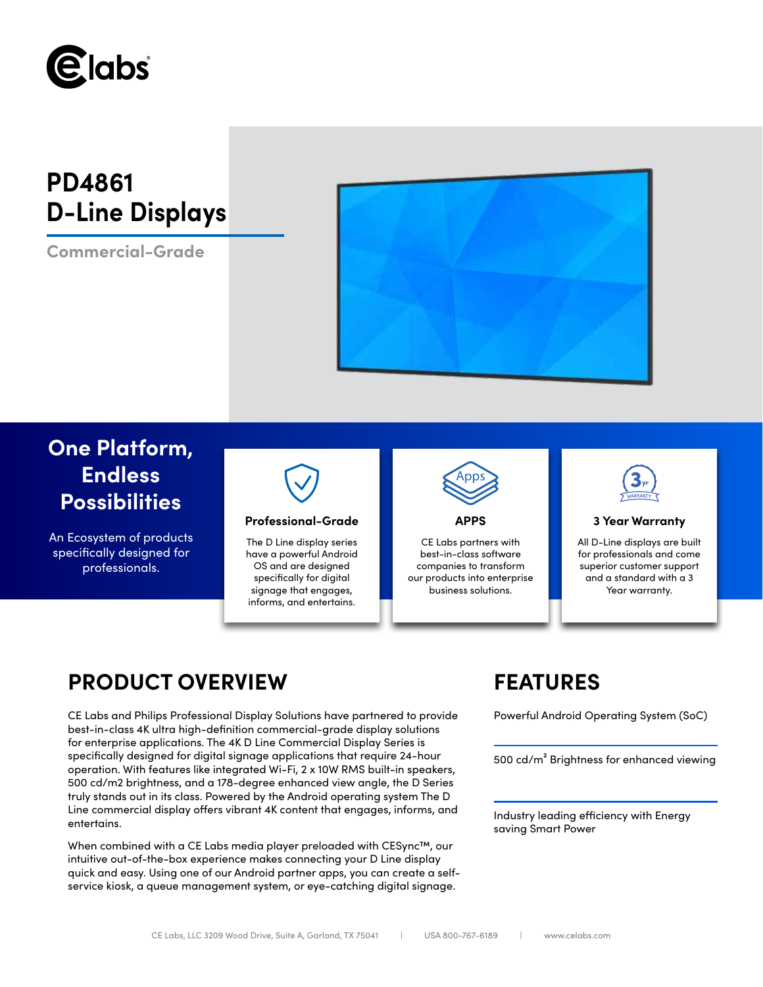

# **PD4861 D-Line Displays**

**Commercial-Grade**



## **One Platform, Endless Possibilities**

An Ecosystem of products specifically designed for professionals.



### **Professional-Grade APPS 3 Year Warranty**

The D Line display series have a powerful Android OS and are designed specifically for digital signage that engages, informs, and entertains.



CE Labs partners with best-in-class software companies to transform our products into enterprise business solutions.



All D-Line displays are built for professionals and come superior customer support and a standard with a 3 Year warranty.

## **PRODUCT OVERVIEW FEATURES**

CE Labs and Philips Professional Display Solutions have partnered to provide Powerful Android Operating System (SoC) best-in-class 4K ultra high-definition commercial-grade display solutions for enterprise applications. The 4K D Line Commercial Display Series is specifically designed for digital signage applications that require 24-hour operation. With features like integrated Wi-Fi, 2 x 10W RMS built-in speakers, 500 cd/m2 brightness, and a 178-degree enhanced view angle, the D Series truly stands out in its class. Powered by the Android operating system The D Line commercial display offers vibrant 4K content that engages, informs, and entertains.

When combined with a CE Labs media player preloaded with CESync™, our intuitive out-of-the-box experience makes connecting your D Line display quick and easy. Using one of our Android partner apps, you can create a selfservice kiosk, a queue management system, or eye-catching digital signage.

500 cd/m² Brightness for enhanced viewing

Industry leading efficiency with Energy saving Smart Power